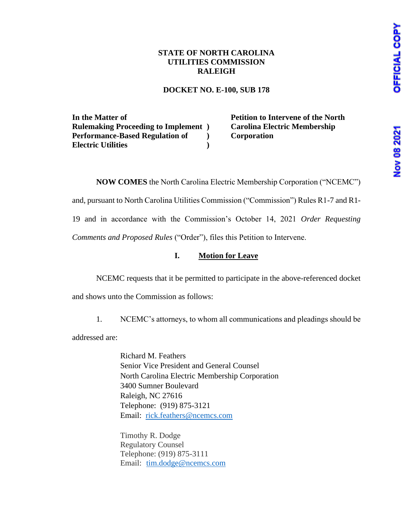# Nov 08 2021

# **STATE OF NORTH CAROLINA UTILITIES COMMISSION RALEIGH**

### **DOCKET NO. E-100, SUB 178**

**In the Matter of Rulemaking Proceeding to Implement ) Performance-Based Regulation of Electric Utilities ) )** **Petition to Intervene of the North Carolina Electric Membership Corporation**

**NOW COMES** the North Carolina Electric Membership Corporation ("NCEMC")

and, pursuant to North Carolina Utilities Commission ("Commission") Rules R1-7 and R1-

19 and in accordance with the Commission's October 14, 2021 *Order Requesting* 

*Comments and Proposed Rules* ("Order"), files this Petition to Intervene.

# **I. Motion for Leave**

NCEMC requests that it be permitted to participate in the above-referenced docket

and shows unto the Commission as follows:

1. NCEMC's attorneys, to whom all communications and pleadings should be

addressed are:

Richard M. Feathers Senior Vice President and General Counsel North Carolina Electric Membership Corporation 3400 Sumner Boulevard Raleigh, NC 27616 Telephone: (919) 875-3121 Email: [rick.feathers@ncemcs.com](mailto:rick.feathers@ncemcs.com)

Timothy R. Dodge Regulatory Counsel Telephone: (919) 875-3111 Email: [tim.dodge@ncemcs.com](mailto:tim.dodge@ncemcs.com)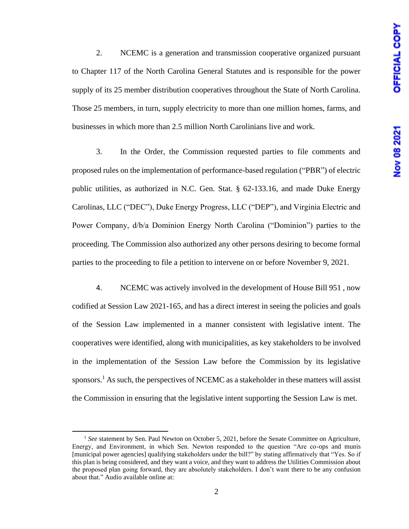2. NCEMC is a generation and transmission cooperative organized pursuant to Chapter 117 of the North Carolina General Statutes and is responsible for the power supply of its 25 member distribution cooperatives throughout the State of North Carolina. Those 25 members, in turn, supply electricity to more than one million homes, farms, and businesses in which more than 2.5 million North Carolinians live and work.

3. In the Order, the Commission requested parties to file comments and proposed rules on the implementation of performance-based regulation ("PBR") of electric public utilities, as authorized in N.C. Gen. Stat. § 62-133.16, and made Duke Energy Carolinas, LLC ("DEC"), Duke Energy Progress, LLC ("DEP"), and Virginia Electric and Power Company, d/b/a Dominion Energy North Carolina ("Dominion") parties to the proceeding. The Commission also authorized any other persons desiring to become formal parties to the proceeding to file a petition to intervene on or before November 9, 2021.

4. NCEMC was actively involved in the development of House Bill 951 , now codified at Session Law 2021-165, and has a direct interest in seeing the policies and goals of the Session Law implemented in a manner consistent with legislative intent. The cooperatives were identified, along with municipalities, as key stakeholders to be involved in the implementation of the Session Law before the Commission by its legislative sponsors.<sup>1</sup> As such, the perspectives of NCEMC as a stakeholder in these matters will assist the Commission in ensuring that the legislative intent supporting the Session Law is met.

<sup>&</sup>lt;sup>1</sup> See statement by Sen. Paul Newton on October 5, 2021, before the Senate Committee on Agriculture, Energy, and Environment, in which Sen. Newton responded to the question "Are co-ops and munis [municipal power agencies] qualifying stakeholders under the bill?" by stating affirmatively that "Yes. So if this plan is being considered, and they want a voice, and they want to address the Utilities Commission about the proposed plan going forward, they are absolutely stakeholders. I don't want there to be any confusion about that." Audio available online at: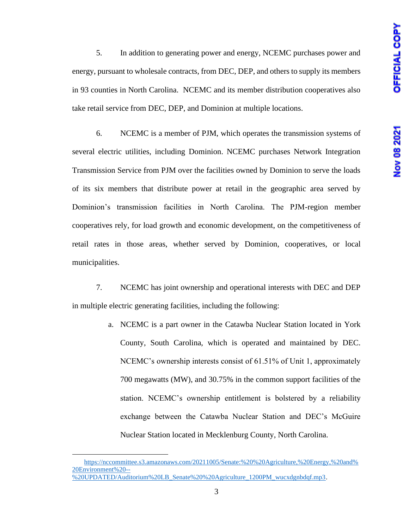5. In addition to generating power and energy, NCEMC purchases power and energy, pursuant to wholesale contracts, from DEC, DEP, and others to supply its members in 93 counties in North Carolina. NCEMC and its member distribution cooperatives also take retail service from DEC, DEP, and Dominion at multiple locations.

6. NCEMC is a member of PJM, which operates the transmission systems of several electric utilities, including Dominion. NCEMC purchases Network Integration Transmission Service from PJM over the facilities owned by Dominion to serve the loads of its six members that distribute power at retail in the geographic area served by Dominion's transmission facilities in North Carolina. The PJM-region member cooperatives rely, for load growth and economic development, on the competitiveness of retail rates in those areas, whether served by Dominion, cooperatives, or local municipalities.

7. NCEMC has joint ownership and operational interests with DEC and DEP in multiple electric generating facilities, including the following:

> a. NCEMC is a part owner in the Catawba Nuclear Station located in York County, South Carolina, which is operated and maintained by DEC. NCEMC's ownership interests consist of 61.51% of Unit 1, approximately 700 megawatts (MW), and 30.75% in the common support facilities of the station. NCEMC's ownership entitlement is bolstered by a reliability exchange between the Catawba Nuclear Station and DEC's McGuire Nuclear Station located in Mecklenburg County, North Carolina.

[https://nccommittee.s3.amazonaws.com/20211005/Senate:%20%20Agriculture,%20Energy,%20and%](https://nccommittee.s3.amazonaws.com/20211005/Senate:%20%20Agriculture,%20Energy,%20and%20Environment%20--%20UPDATED/Auditorium%20LB_Senate%20%20Agriculture_1200PM_wucxdgnbdqf.mp3) [20Environment%20--](https://nccommittee.s3.amazonaws.com/20211005/Senate:%20%20Agriculture,%20Energy,%20and%20Environment%20--%20UPDATED/Auditorium%20LB_Senate%20%20Agriculture_1200PM_wucxdgnbdqf.mp3) [%20UPDATED/Auditorium%20LB\\_Senate%20%20Agriculture\\_1200PM\\_wucxdgnbdqf.mp3.](https://nccommittee.s3.amazonaws.com/20211005/Senate:%20%20Agriculture,%20Energy,%20and%20Environment%20--%20UPDATED/Auditorium%20LB_Senate%20%20Agriculture_1200PM_wucxdgnbdqf.mp3)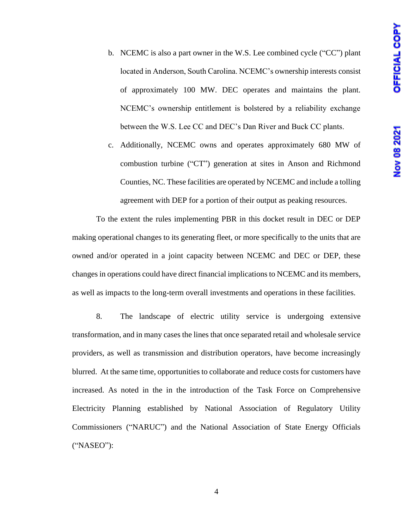- b. NCEMC is also a part owner in the W.S. Lee combined cycle ("CC") plant located in Anderson, South Carolina. NCEMC's ownership interests consist of approximately 100 MW. DEC operates and maintains the plant. NCEMC's ownership entitlement is bolstered by a reliability exchange between the W.S. Lee CC and DEC's Dan River and Buck CC plants.
- c. Additionally, NCEMC owns and operates approximately 680 MW of combustion turbine ("CT") generation at sites in Anson and Richmond Counties, NC. These facilities are operated by NCEMC and include a tolling agreement with DEP for a portion of their output as peaking resources.

To the extent the rules implementing PBR in this docket result in DEC or DEP making operational changes to its generating fleet, or more specifically to the units that are owned and/or operated in a joint capacity between NCEMC and DEC or DEP, these changes in operations could have direct financial implications to NCEMC and its members, as well as impacts to the long-term overall investments and operations in these facilities.

8. The landscape of electric utility service is undergoing extensive transformation, and in many cases the lines that once separated retail and wholesale service providers, as well as transmission and distribution operators, have become increasingly blurred. At the same time, opportunities to collaborate and reduce costs for customers have increased. As noted in the in the introduction of the Task Force on Comprehensive Electricity Planning established by National Association of Regulatory Utility Commissioners ("NARUC") and the National Association of State Energy Officials ("NASEO"):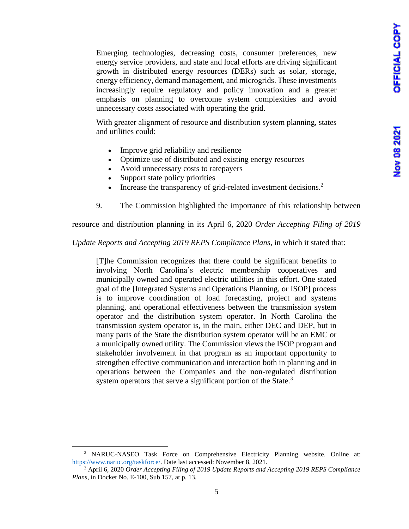Emerging technologies, decreasing costs, consumer preferences, new energy service providers, and state and local efforts are driving significant growth in distributed energy resources (DERs) such as solar, storage, energy efficiency, demand management, and microgrids. These investments increasingly require regulatory and policy innovation and a greater emphasis on planning to overcome system complexities and avoid unnecessary costs associated with operating the grid.

With greater alignment of resource and distribution system planning, states and utilities could:

- Improve grid reliability and resilience
- Optimize use of distributed and existing energy resources
- Avoid unnecessary costs to ratepayers
- Support state policy priorities
- Increase the transparency of grid-related investment decisions.<sup>2</sup>
- 9. The Commission highlighted the importance of this relationship between

resource and distribution planning in its April 6, 2020 *Order Accepting Filing of 2019* 

*Update Reports and Accepting 2019 REPS Compliance Plans*, in which it stated that:

[T]he Commission recognizes that there could be significant benefits to involving North Carolina's electric membership cooperatives and municipally owned and operated electric utilities in this effort. One stated goal of the [Integrated Systems and Operations Planning, or ISOP] process is to improve coordination of load forecasting, project and systems planning, and operational effectiveness between the transmission system operator and the distribution system operator. In North Carolina the transmission system operator is, in the main, either DEC and DEP, but in many parts of the State the distribution system operator will be an EMC or a municipally owned utility. The Commission views the ISOP program and stakeholder involvement in that program as an important opportunity to strengthen effective communication and interaction both in planning and in operations between the Companies and the non-regulated distribution system operators that serve a significant portion of the State. $3$ 

<sup>&</sup>lt;sup>2</sup> NARUC-NASEO Task Force on Comprehensive Electricity Planning website. Online at: [https://www.naruc.org/taskforce/.](https://www.naruc.org/taskforce/) Date last accessed: November 8, 2021.

<sup>3</sup> April 6, 2020 *Order Accepting Filing of 2019 Update Reports and Accepting 2019 REPS Compliance Plans*, in Docket No. E-100, Sub 157, at p. 13.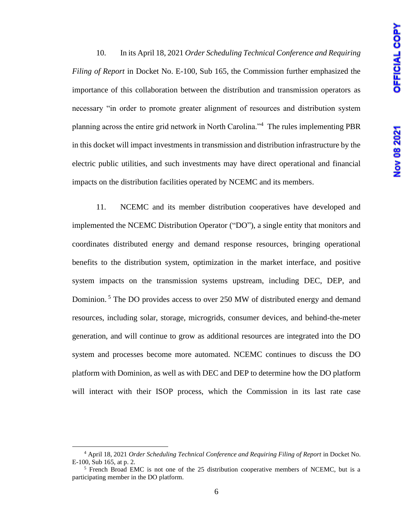10. In its April 18, 2021 *Order Scheduling Technical Conference and Requiring Filing of Report* in Docket No. E-100, Sub 165, the Commission further emphasized the importance of this collaboration between the distribution and transmission operators as necessary "in order to promote greater alignment of resources and distribution system planning across the entire grid network in North Carolina."<sup>4</sup> The rules implementing PBR in this docket will impact investments in transmission and distribution infrastructure by the electric public utilities, and such investments may have direct operational and financial impacts on the distribution facilities operated by NCEMC and its members.

11. NCEMC and its member distribution cooperatives have developed and implemented the NCEMC Distribution Operator ("DO"), a single entity that monitors and coordinates distributed energy and demand response resources, bringing operational benefits to the distribution system, optimization in the market interface, and positive system impacts on the transmission systems upstream, including DEC, DEP, and Dominion.<sup>5</sup> The DO provides access to over 250 MW of distributed energy and demand resources, including solar, storage, microgrids, consumer devices, and behind-the-meter generation, and will continue to grow as additional resources are integrated into the DO system and processes become more automated. NCEMC continues to discuss the DO platform with Dominion, as well as with DEC and DEP to determine how the DO platform will interact with their ISOP process, which the Commission in its last rate case

<sup>&</sup>lt;sup>4</sup> April 18, 2021 *Order Scheduling Technical Conference and Requiring Filing of Report* in Docket No. E-100, Sub 165, at p. 2.

 $<sup>5</sup>$  French Broad EMC is not one of the 25 distribution cooperative members of NCEMC, but is a</sup> participating member in the DO platform.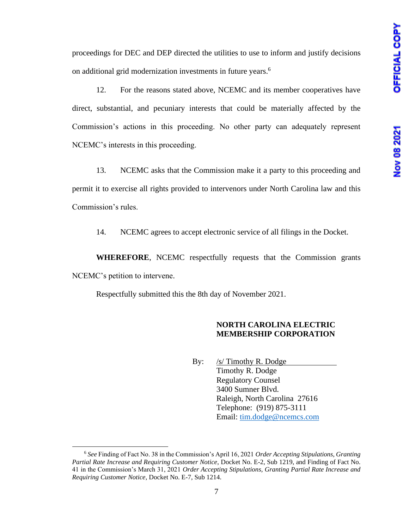proceedings for DEC and DEP directed the utilities to use to inform and justify decisions on additional grid modernization investments in future years. 6

12. For the reasons stated above, NCEMC and its member cooperatives have direct, substantial, and pecuniary interests that could be materially affected by the Commission's actions in this proceeding. No other party can adequately represent NCEMC's interests in this proceeding.

13. NCEMC asks that the Commission make it a party to this proceeding and permit it to exercise all rights provided to intervenors under North Carolina law and this Commission's rules.

14. NCEMC agrees to accept electronic service of all filings in the Docket.

**WHEREFORE**, NCEMC respectfully requests that the Commission grants NCEMC's petition to intervene.

Respectfully submitted this the 8th day of November 2021.

### **NORTH CAROLINA ELECTRIC MEMBERSHIP CORPORATION**

By: /s/ Timothy R. Dodge Timothy R. Dodge Regulatory Counsel 3400 Sumner Blvd. Raleigh, North Carolina 27616 Telephone: (919) 875-3111 Email: [tim.dodge@ncemcs.com](mailto:tim.dodge@ncemcs.com)

<sup>6</sup> *See* Finding of Fact No. 38 in the Commission's April 16, 2021 *Order Accepting Stipulations, Granting Partial Rate Increase and Requiring Customer Notice*, Docket No. E-2, Sub 1219, and Finding of Fact No. 41 in the Commission's March 31, 2021 *Order Accepting Stipulations, Granting Partial Rate Increase and Requiring Customer Notice*, Docket No. E-7, Sub 1214.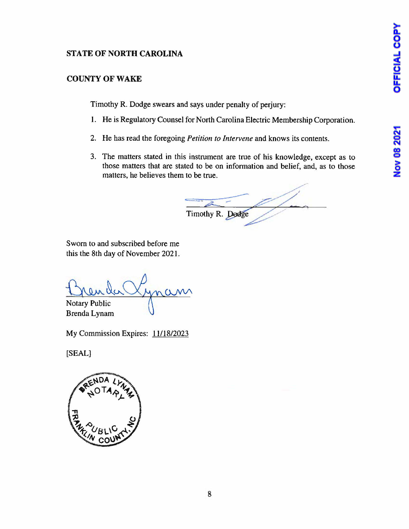# Nov 08 2021

# **STATE OF NORTH CAROLINA**

# **COUNTY OF WAKE**

Timothy R. Dodge swears and says under penalty of perjury:

- **1.** He is Regulatory Counsel for North Carolina Electric Membership Corporation.
- 2. He has read the foregoing *Petition to Intervene* and knows its contents.
- 3. The matters stated in this instrument are true of his knowledge, except as to those matters that are stated to be on information and belief, and, as to those matters, he believes them to be true.

Timothy R. Dodge

Sworn to and subscribed before me this the 8th day of November 2021.

 $\alpha$ Notary Public

Brenda Lynam

My Commission Expires: 11/18/2023

**[SEAL]**